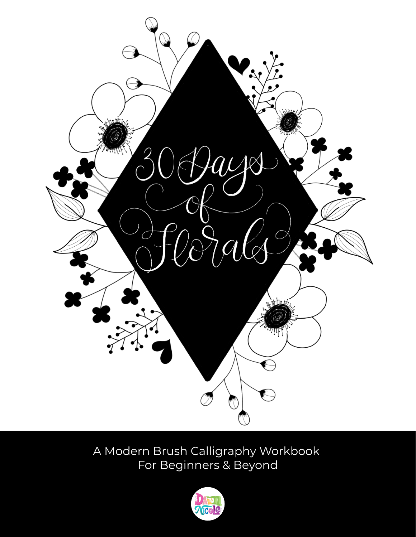

A Modern Brush Calligraphy Workbook For Beginners & Beyond

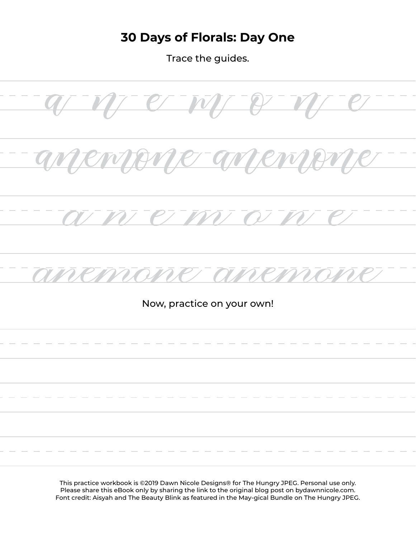### **30 Days of Florals: Day One**

Trace the guides.



Please share this eBook only by sharing the link to the original blog post on bydawnnicole.com. Font credit: Aisyah and The Beauty Blink as featured in the May-gical Bundle on The Hungry JPEG.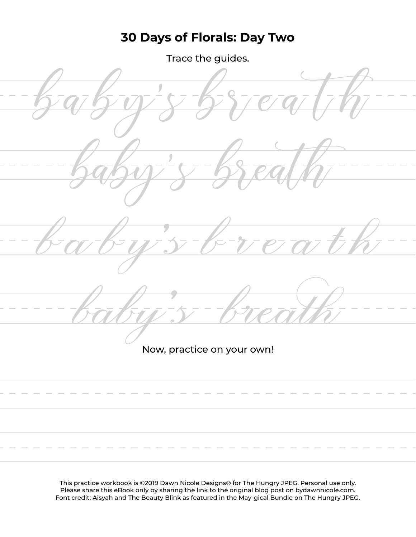## **30 Days of Florals: Day Two**

Trace the guides.



Now, practice on your own!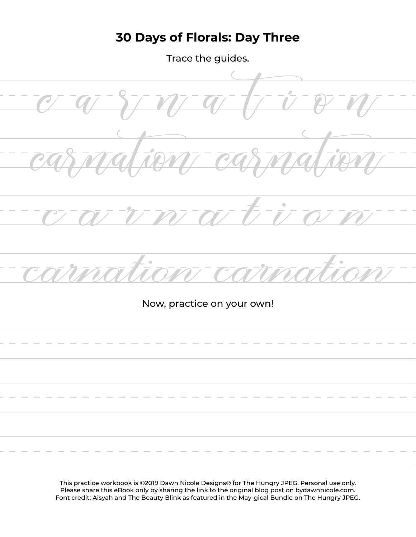## **30 Days of Florals: Day Three**

Trace the guides.

Now, practice on your own!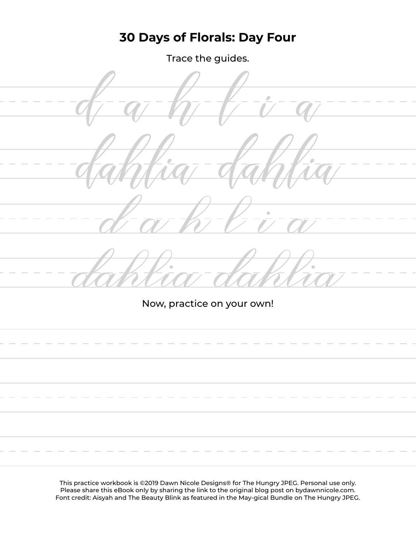### **30 Days of Florals: Day Four**

Trace the guides.



Now, practice on your own!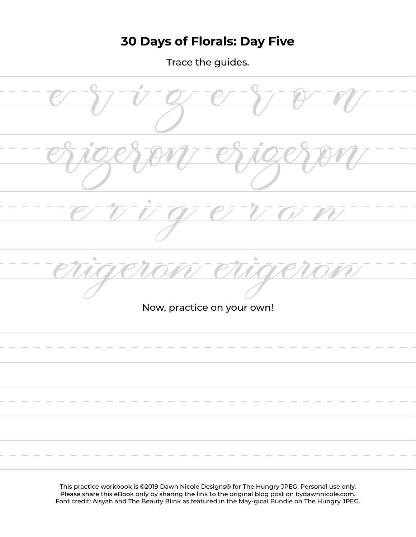# **30 Days of Florals: Day Five**

Trace the guides.

Now, practice on your own!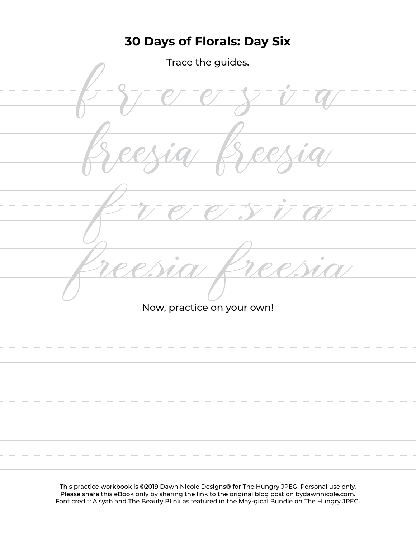# **30 Days of Florals: Day Six**

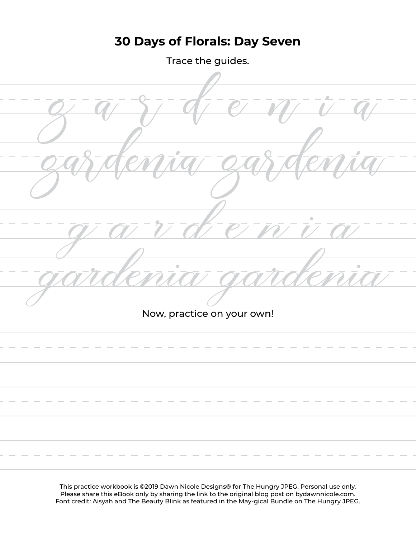### **30 Days of Florals: Day Seven**

Trace the guides.

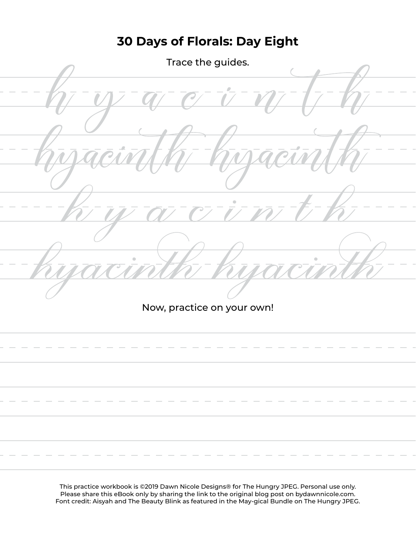# **30 Days of Florals: Day Eight**

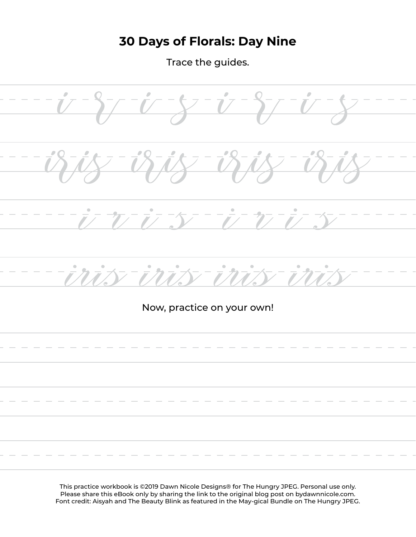## **30 Days of Florals: Day Nine**

Trace the guides.

 $\overline{\mathcal{L}}$  $-27$  $\vec{U}$ <u>inis</u> in  $-i\hbar$ inis Now, practice on your own!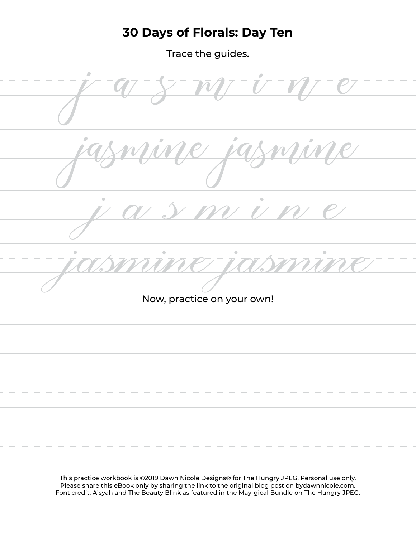#### **30 Days of Florals: Day Ten**

Trace the guides.

 $\begin{array}{c} \hline \end{array}$  $\overline{a}$ Now, practice on your own!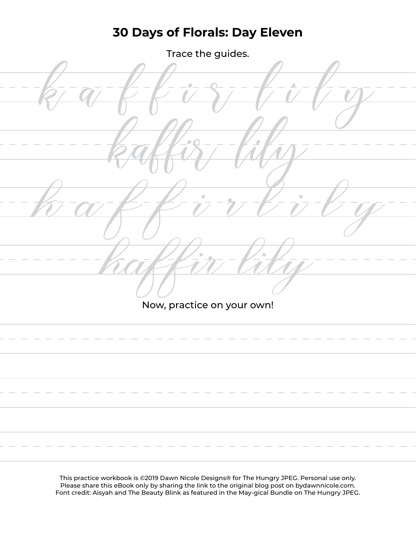#### **30 Days of Florals: Day Eleven**

Trace the guides.

Now, practice on your own!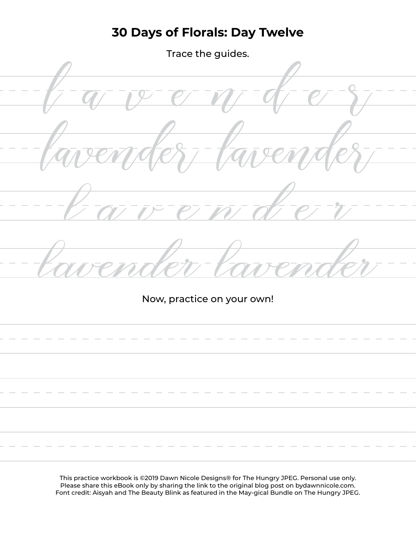#### **30 Days of Florals: Day Twelve**

Trace the guides.



Now, practice on your own!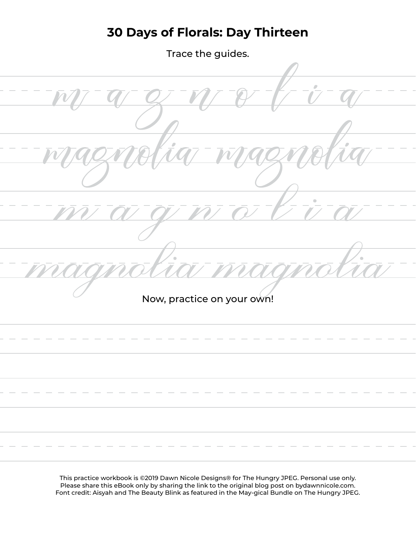#### **30 Days of Florals: Day Thirteen**

Trace the guides.

Now, practice on your own!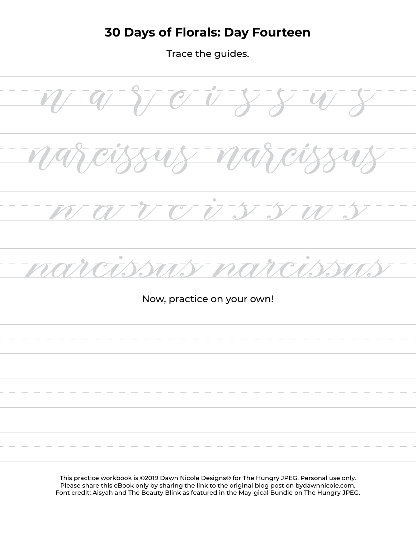#### **30 Days of Florals: Day Fourteen**

Trace the guides.

 $C$   $\overline{U}$ Now, practice on your own!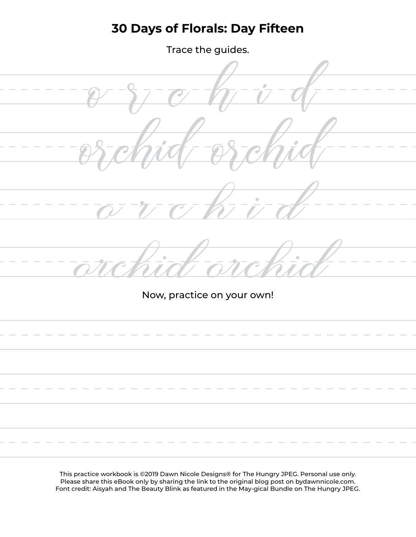### **30 Days of Florals: Day Fifteen**

Trace the guides.



Now, practice on your own!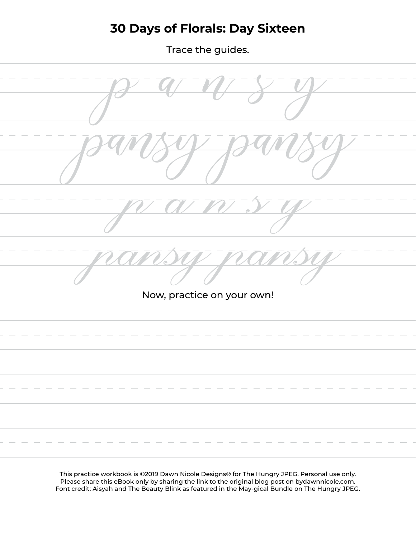### **30 Days of Florals: Day Sixteen**

Trace the guides.

Now, practice on your own!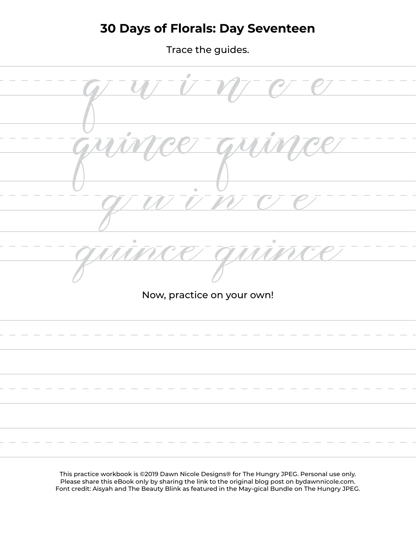### **30 Days of Florals: Day Seventeen**

Trace the guides.

 $\bullet$ 

Now, practice on your own!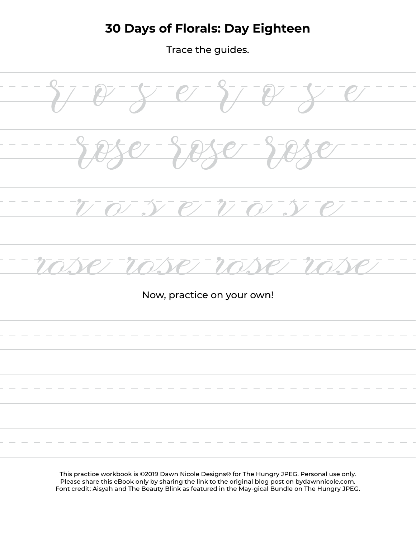# **30 Days of Florals: Day Eighteen**

Trace the guides.

 $e^-i^ P/77$ 

Now, practice on your own!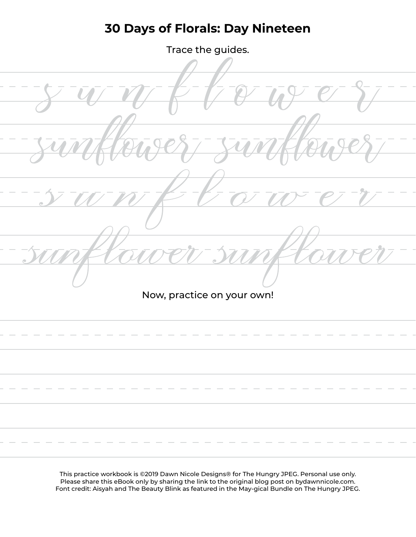### **30 Days of Florals: Day Nineteen**

Trace the guides.

Now, practice on your own!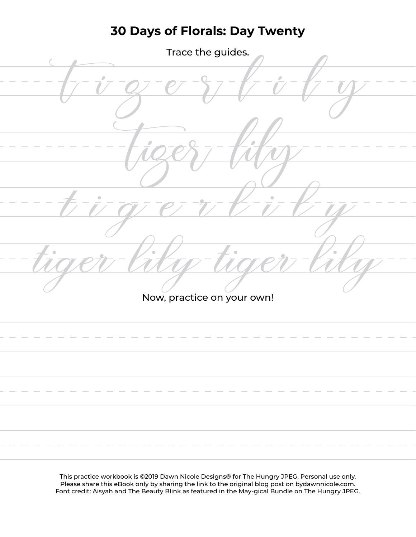#### **30 Days of Florals: Day Twenty**

| Trace the guides.          |
|----------------------------|
|                            |
|                            |
| $\color{orange}\bullet$    |
|                            |
| Now, practice on your own! |
|                            |
|                            |
|                            |
|                            |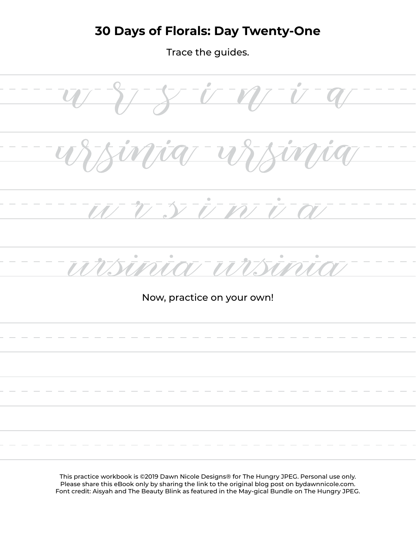#### **30 Days of Florals: Day Twenty-One**

Trace the guides.

 $\frac{1}{\sqrt{2}}$  $\boldsymbol{U}$  $\overline{V}$  $\overline{\boldsymbol{u}}$  $\overline{L}$  $\bar{p}$  $\overline{z}$  $\overline{\phantom{a}}$ M **VIII** Now, practice on your own!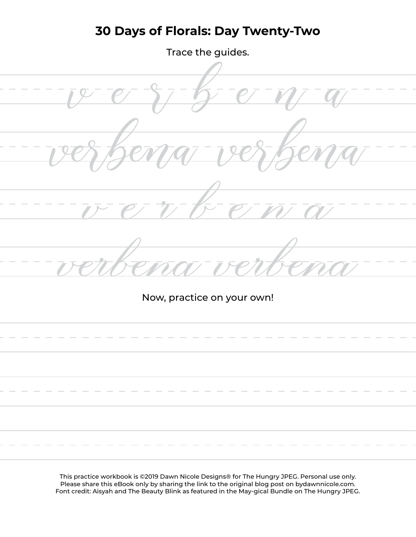## **30 Days of Florals: Day Twenty-Two**

Trace the guides.

Now, practice on your own!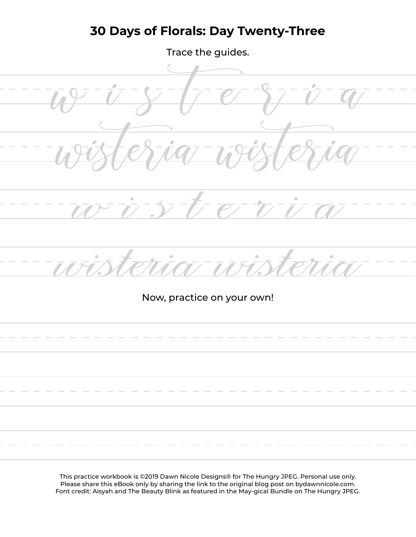#### **30 Days of Florals: Day Twenty-Three**

Trace the guides.

 $\rightarrow$ 

Now, practice on your own!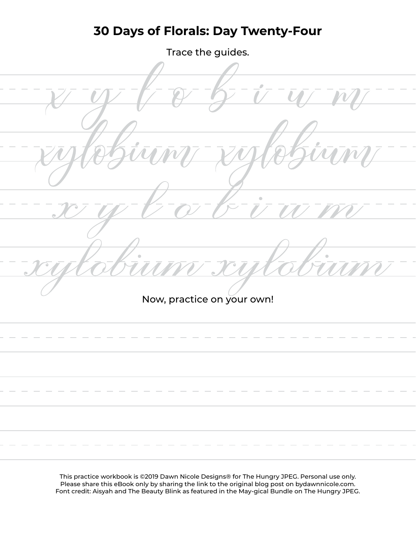#### **30 Days of Florals: Day Twenty-Four**

Trace the guides.

 $\overline{a}$ Now, practice on your own!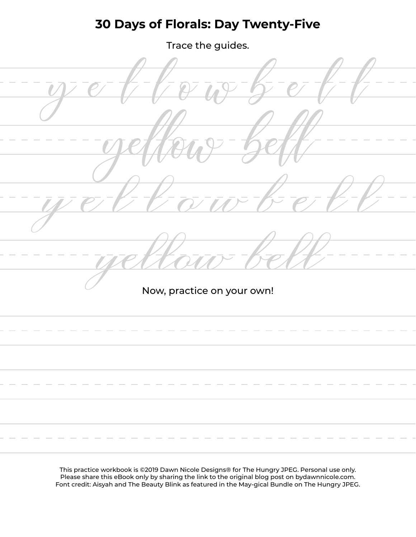#### **30 Days of Florals: Day Twenty-Five**

Trace the guides.

Now, practice on your own!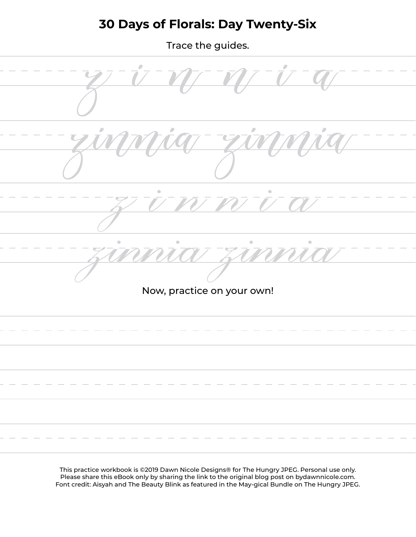#### **30 Days of Florals: Day Twenty-Six**

Trace the guides.

Now, practice on your own!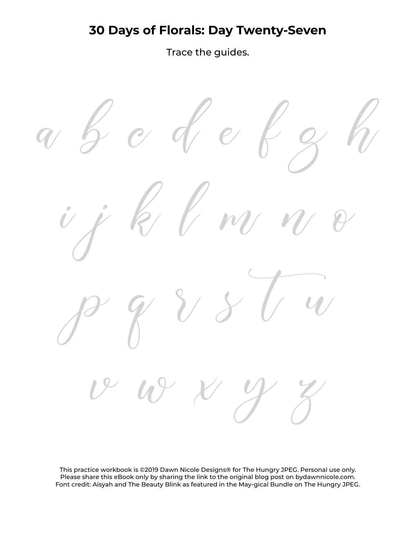#### **30 Days of Florals: Day Twenty-Seven**

Trace the guides.

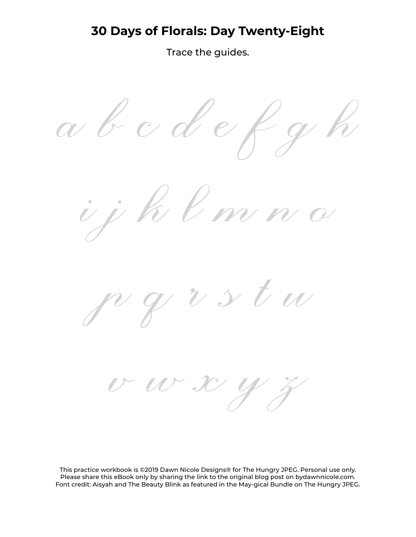#### **30 Days of Florals: Day Twenty-Eight**

Trace the guides.

 $d$  e  $\alpha$  b  $c$ l m n d  $\boldsymbol{\nu}$ stu

 $\mathcal{U}$   $\mathcal{U}$  x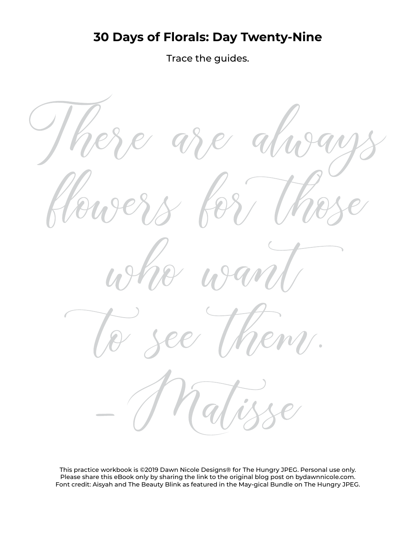# **30 Days of Florals: Day Twenty-Nine**

Trace the guides.